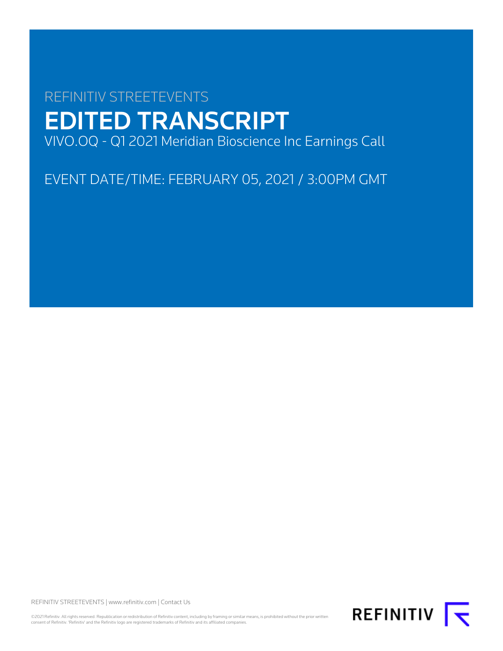# REFINITIV STREETEVENTS EDITED TRANSCRIPT VIVO.OQ - Q1 2021 Meridian Bioscience Inc Earnings Call

EVENT DATE/TIME: FEBRUARY 05, 2021 / 3:00PM GMT

REFINITIV STREETEVENTS | [www.refinitiv.com](https://www.refinitiv.com/) | [Contact Us](https://www.refinitiv.com/en/contact-us)

©2021 Refinitiv. All rights reserved. Republication or redistribution of Refinitiv content, including by framing or similar means, is prohibited without the prior written consent of Refinitiv. 'Refinitiv' and the Refinitiv logo are registered trademarks of Refinitiv and its affiliated companies.

REFINITIV **I**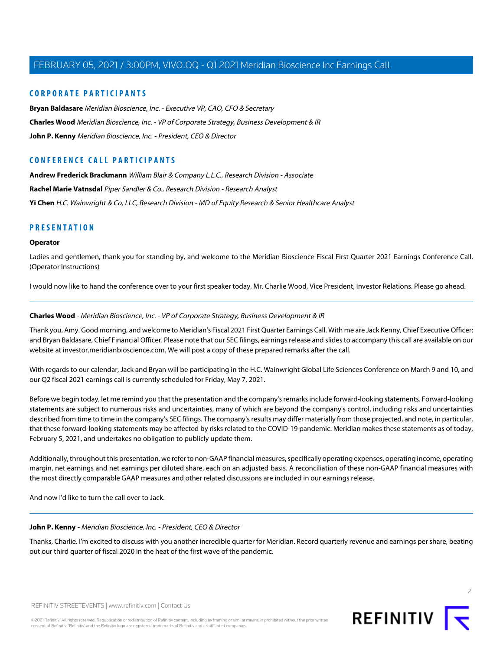### **CORPORATE PARTICIPANTS**

**[Bryan Baldasare](#page-3-0)** Meridian Bioscience, Inc. - Executive VP, CAO, CFO & Secretary **[Charles Wood](#page-1-0)** Meridian Bioscience, Inc. - VP of Corporate Strategy, Business Development & IR **[John P. Kenny](#page-1-1)** Meridian Bioscience, Inc. - President, CEO & Director

### **CONFERENCE CALL PARTICIPANTS**

**[Andrew Frederick Brackmann](#page-5-0)** William Blair & Company L.L.C., Research Division - Associate **[Rachel Marie Vatnsdal](#page-7-0)** Piper Sandler & Co., Research Division - Research Analyst **[Yi Chen](#page-8-0)** H.C. Wainwright & Co, LLC, Research Division - MD of Equity Research & Senior Healthcare Analyst

### **PRESENTATION**

### **Operator**

Ladies and gentlemen, thank you for standing by, and welcome to the Meridian Bioscience Fiscal First Quarter 2021 Earnings Conference Call. (Operator Instructions)

<span id="page-1-0"></span>I would now like to hand the conference over to your first speaker today, Mr. Charlie Wood, Vice President, Investor Relations. Please go ahead.

### **Charles Wood** - Meridian Bioscience, Inc. - VP of Corporate Strategy, Business Development & IR

Thank you, Amy. Good morning, and welcome to Meridian's Fiscal 2021 First Quarter Earnings Call. With me are Jack Kenny, Chief Executive Officer; and Bryan Baldasare, Chief Financial Officer. Please note that our SEC filings, earnings release and slides to accompany this call are available on our website at investor.meridianbioscience.com. We will post a copy of these prepared remarks after the call.

With regards to our calendar, Jack and Bryan will be participating in the H.C. Wainwright Global Life Sciences Conference on March 9 and 10, and our Q2 fiscal 2021 earnings call is currently scheduled for Friday, May 7, 2021.

Before we begin today, let me remind you that the presentation and the company's remarks include forward-looking statements. Forward-looking statements are subject to numerous risks and uncertainties, many of which are beyond the company's control, including risks and uncertainties described from time to time in the company's SEC filings. The company's results may differ materially from those projected, and note, in particular, that these forward-looking statements may be affected by risks related to the COVID-19 pandemic. Meridian makes these statements as of today, February 5, 2021, and undertakes no obligation to publicly update them.

<span id="page-1-1"></span>Additionally, throughout this presentation, we refer to non-GAAP financial measures, specifically operating expenses, operating income, operating margin, net earnings and net earnings per diluted share, each on an adjusted basis. A reconciliation of these non-GAAP financial measures with the most directly comparable GAAP measures and other related discussions are included in our earnings release.

And now I'd like to turn the call over to Jack.

### **John P. Kenny** - Meridian Bioscience, Inc. - President, CEO & Director

Thanks, Charlie. I'm excited to discuss with you another incredible quarter for Meridian. Record quarterly revenue and earnings per share, beating out our third quarter of fiscal 2020 in the heat of the first wave of the pandemic.

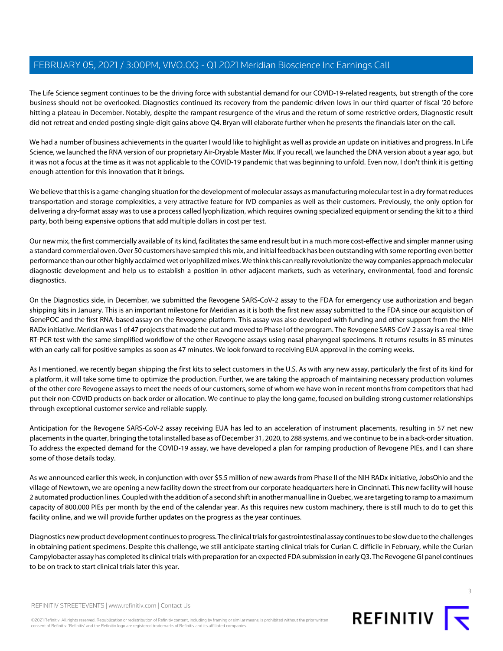The Life Science segment continues to be the driving force with substantial demand for our COVID-19-related reagents, but strength of the core business should not be overlooked. Diagnostics continued its recovery from the pandemic-driven lows in our third quarter of fiscal '20 before hitting a plateau in December. Notably, despite the rampant resurgence of the virus and the return of some restrictive orders, Diagnostic result did not retreat and ended posting single-digit gains above Q4. Bryan will elaborate further when he presents the financials later on the call.

We had a number of business achievements in the quarter I would like to highlight as well as provide an update on initiatives and progress. In Life Science, we launched the RNA version of our proprietary Air-Dryable Master Mix. If you recall, we launched the DNA version about a year ago, but it was not a focus at the time as it was not applicable to the COVID-19 pandemic that was beginning to unfold. Even now, I don't think it is getting enough attention for this innovation that it brings.

We believe that this is a game-changing situation for the development of molecular assays as manufacturing molecular test in a dry format reduces transportation and storage complexities, a very attractive feature for IVD companies as well as their customers. Previously, the only option for delivering a dry-format assay was to use a process called lyophilization, which requires owning specialized equipment or sending the kit to a third party, both being expensive options that add multiple dollars in cost per test.

Our new mix, the first commercially available of its kind, facilitates the same end result but in a much more cost-effective and simpler manner using a standard commercial oven. Over 50 customers have sampled this mix, and initial feedback has been outstanding with some reporting even better performance than our other highly acclaimed wet or lyophilized mixes. We think this can really revolutionize the way companies approach molecular diagnostic development and help us to establish a position in other adjacent markets, such as veterinary, environmental, food and forensic diagnostics.

On the Diagnostics side, in December, we submitted the Revogene SARS-CoV-2 assay to the FDA for emergency use authorization and began shipping kits in January. This is an important milestone for Meridian as it is both the first new assay submitted to the FDA since our acquisition of GenePOC and the first RNA-based assay on the Revogene platform. This assay was also developed with funding and other support from the NIH RADx initiative. Meridian was 1 of 47 projects that made the cut and moved to Phase I of the program. The Revogene SARS-CoV-2 assay is a real-time RT-PCR test with the same simplified workflow of the other Revogene assays using nasal pharyngeal specimens. It returns results in 85 minutes with an early call for positive samples as soon as 47 minutes. We look forward to receiving EUA approval in the coming weeks.

As I mentioned, we recently began shipping the first kits to select customers in the U.S. As with any new assay, particularly the first of its kind for a platform, it will take some time to optimize the production. Further, we are taking the approach of maintaining necessary production volumes of the other core Revogene assays to meet the needs of our customers, some of whom we have won in recent months from competitors that had put their non-COVID products on back order or allocation. We continue to play the long game, focused on building strong customer relationships through exceptional customer service and reliable supply.

Anticipation for the Revogene SARS-CoV-2 assay receiving EUA has led to an acceleration of instrument placements, resulting in 57 net new placements in the quarter, bringing the total installed base as of December 31, 2020, to 288 systems, and we continue to be in a back-order situation. To address the expected demand for the COVID-19 assay, we have developed a plan for ramping production of Revogene PIEs, and I can share some of those details today.

As we announced earlier this week, in conjunction with over \$5.5 million of new awards from Phase II of the NIH RADx initiative, JobsOhio and the village of Newtown, we are opening a new facility down the street from our corporate headquarters here in Cincinnati. This new facility will house 2 automated production lines. Coupled with the addition of a second shift in another manual line in Quebec, we are targeting to ramp to a maximum capacity of 800,000 PIEs per month by the end of the calendar year. As this requires new custom machinery, there is still much to do to get this facility online, and we will provide further updates on the progress as the year continues.

Diagnostics new product development continues to progress. The clinical trials for gastrointestinal assay continues to be slow due to the challenges in obtaining patient specimens. Despite this challenge, we still anticipate starting clinical trials for Curian C. difficile in February, while the Curian Campylobacter assay has completed its clinical trials with preparation for an expected FDA submission in early Q3. The Revogene GI panel continues to be on track to start clinical trials later this year.

©2021 Refinitiv. All rights reserved. Republication or redistribution of Refinitiv content, including by framing or similar means, is prohibited without the prior written consent of Refinitiv. 'Refinitiv' and the Refinitiv logo are registered trademarks of Refinitiv and its affiliated companies.



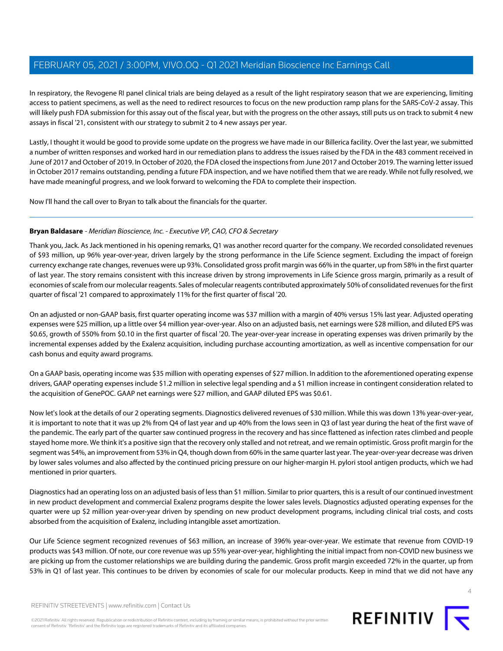In respiratory, the Revogene RI panel clinical trials are being delayed as a result of the light respiratory season that we are experiencing, limiting access to patient specimens, as well as the need to redirect resources to focus on the new production ramp plans for the SARS-CoV-2 assay. This will likely push FDA submission for this assay out of the fiscal year, but with the progress on the other assays, still puts us on track to submit 4 new assays in fiscal '21, consistent with our strategy to submit 2 to 4 new assays per year.

Lastly, I thought it would be good to provide some update on the progress we have made in our Billerica facility. Over the last year, we submitted a number of written responses and worked hard in our remediation plans to address the issues raised by the FDA in the 483 comment received in June of 2017 and October of 2019. In October of 2020, the FDA closed the inspections from June 2017 and October 2019. The warning letter issued in October 2017 remains outstanding, pending a future FDA inspection, and we have notified them that we are ready. While not fully resolved, we have made meaningful progress, and we look forward to welcoming the FDA to complete their inspection.

<span id="page-3-0"></span>Now I'll hand the call over to Bryan to talk about the financials for the quarter.

### **Bryan Baldasare** - Meridian Bioscience, Inc. - Executive VP, CAO, CFO & Secretary

Thank you, Jack. As Jack mentioned in his opening remarks, Q1 was another record quarter for the company. We recorded consolidated revenues of \$93 million, up 96% year-over-year, driven largely by the strong performance in the Life Science segment. Excluding the impact of foreign currency exchange rate changes, revenues were up 93%. Consolidated gross profit margin was 66% in the quarter, up from 58% in the first quarter of last year. The story remains consistent with this increase driven by strong improvements in Life Science gross margin, primarily as a result of economies of scale from our molecular reagents. Sales of molecular reagents contributed approximately 50% of consolidated revenues for the first quarter of fiscal '21 compared to approximately 11% for the first quarter of fiscal '20.

On an adjusted or non-GAAP basis, first quarter operating income was \$37 million with a margin of 40% versus 15% last year. Adjusted operating expenses were \$25 million, up a little over \$4 million year-over-year. Also on an adjusted basis, net earnings were \$28 million, and diluted EPS was \$0.65, growth of 550% from \$0.10 in the first quarter of fiscal '20. The year-over-year increase in operating expenses was driven primarily by the incremental expenses added by the Exalenz acquisition, including purchase accounting amortization, as well as incentive compensation for our cash bonus and equity award programs.

On a GAAP basis, operating income was \$35 million with operating expenses of \$27 million. In addition to the aforementioned operating expense drivers, GAAP operating expenses include \$1.2 million in selective legal spending and a \$1 million increase in contingent consideration related to the acquisition of GenePOC. GAAP net earnings were \$27 million, and GAAP diluted EPS was \$0.61.

Now let's look at the details of our 2 operating segments. Diagnostics delivered revenues of \$30 million. While this was down 13% year-over-year, it is important to note that it was up 2% from Q4 of last year and up 40% from the lows seen in Q3 of last year during the heat of the first wave of the pandemic. The early part of the quarter saw continued progress in the recovery and has since flattened as infection rates climbed and people stayed home more. We think it's a positive sign that the recovery only stalled and not retreat, and we remain optimistic. Gross profit margin for the segment was 54%, an improvement from 53% in Q4, though down from 60% in the same quarter last year. The year-over-year decrease was driven by lower sales volumes and also affected by the continued pricing pressure on our higher-margin H. pylori stool antigen products, which we had mentioned in prior quarters.

Diagnostics had an operating loss on an adjusted basis of less than \$1 million. Similar to prior quarters, this is a result of our continued investment in new product development and commercial Exalenz programs despite the lower sales levels. Diagnostics adjusted operating expenses for the quarter were up \$2 million year-over-year driven by spending on new product development programs, including clinical trial costs, and costs absorbed from the acquisition of Exalenz, including intangible asset amortization.

Our Life Science segment recognized revenues of \$63 million, an increase of 396% year-over-year. We estimate that revenue from COVID-19 products was \$43 million. Of note, our core revenue was up 55% year-over-year, highlighting the initial impact from non-COVID new business we are picking up from the customer relationships we are building during the pandemic. Gross profit margin exceeded 72% in the quarter, up from 53% in Q1 of last year. This continues to be driven by economies of scale for our molecular products. Keep in mind that we did not have any

REFINITIV STREETEVENTS | [www.refinitiv.com](https://www.refinitiv.com/) | [Contact Us](https://www.refinitiv.com/en/contact-us)

©2021 Refinitiv. All rights reserved. Republication or redistribution of Refinitiv content, including by framing or similar means, is prohibited without the prior written consent of Refinitiv. 'Refinitiv' and the Refinitiv logo are registered trademarks of Refinitiv and its affiliated companies.

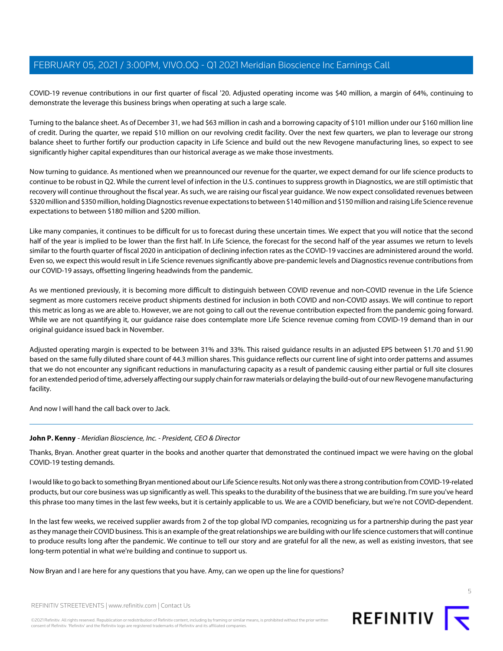COVID-19 revenue contributions in our first quarter of fiscal '20. Adjusted operating income was \$40 million, a margin of 64%, continuing to demonstrate the leverage this business brings when operating at such a large scale.

Turning to the balance sheet. As of December 31, we had \$63 million in cash and a borrowing capacity of \$101 million under our \$160 million line of credit. During the quarter, we repaid \$10 million on our revolving credit facility. Over the next few quarters, we plan to leverage our strong balance sheet to further fortify our production capacity in Life Science and build out the new Revogene manufacturing lines, so expect to see significantly higher capital expenditures than our historical average as we make those investments.

Now turning to guidance. As mentioned when we preannounced our revenue for the quarter, we expect demand for our life science products to continue to be robust in Q2. While the current level of infection in the U.S. continues to suppress growth in Diagnostics, we are still optimistic that recovery will continue throughout the fiscal year. As such, we are raising our fiscal year guidance. We now expect consolidated revenues between \$320 million and \$350 million, holding Diagnostics revenue expectations to between \$140 million and \$150 million and raising Life Science revenue expectations to between \$180 million and \$200 million.

Like many companies, it continues to be difficult for us to forecast during these uncertain times. We expect that you will notice that the second half of the year is implied to be lower than the first half. In Life Science, the forecast for the second half of the year assumes we return to levels similar to the fourth quarter of fiscal 2020 in anticipation of declining infection rates as the COVID-19 vaccines are administered around the world. Even so, we expect this would result in Life Science revenues significantly above pre-pandemic levels and Diagnostics revenue contributions from our COVID-19 assays, offsetting lingering headwinds from the pandemic.

As we mentioned previously, it is becoming more difficult to distinguish between COVID revenue and non-COVID revenue in the Life Science segment as more customers receive product shipments destined for inclusion in both COVID and non-COVID assays. We will continue to report this metric as long as we are able to. However, we are not going to call out the revenue contribution expected from the pandemic going forward. While we are not quantifying it, our guidance raise does contemplate more Life Science revenue coming from COVID-19 demand than in our original guidance issued back in November.

Adjusted operating margin is expected to be between 31% and 33%. This raised guidance results in an adjusted EPS between \$1.70 and \$1.90 based on the same fully diluted share count of 44.3 million shares. This guidance reflects our current line of sight into order patterns and assumes that we do not encounter any significant reductions in manufacturing capacity as a result of pandemic causing either partial or full site closures for an extended period of time, adversely affecting our supply chain for raw materials or delaying the build-out of our new Revogene manufacturing facility.

And now I will hand the call back over to Jack.

### **John P. Kenny** - Meridian Bioscience, Inc. - President, CEO & Director

Thanks, Bryan. Another great quarter in the books and another quarter that demonstrated the continued impact we were having on the global COVID-19 testing demands.

I would like to go back to something Bryan mentioned about our Life Science results. Not only was there a strong contribution from COVID-19-related products, but our core business was up significantly as well. This speaks to the durability of the business that we are building. I'm sure you've heard this phrase too many times in the last few weeks, but it is certainly applicable to us. We are a COVID beneficiary, but we're not COVID-dependent.

In the last few weeks, we received supplier awards from 2 of the top global IVD companies, recognizing us for a partnership during the past year as they manage their COVID business. This is an example of the great relationships we are building with our life science customers that will continue to produce results long after the pandemic. We continue to tell our story and are grateful for all the new, as well as existing investors, that see long-term potential in what we're building and continue to support us.

Now Bryan and I are here for any questions that you have. Amy, can we open up the line for questions?

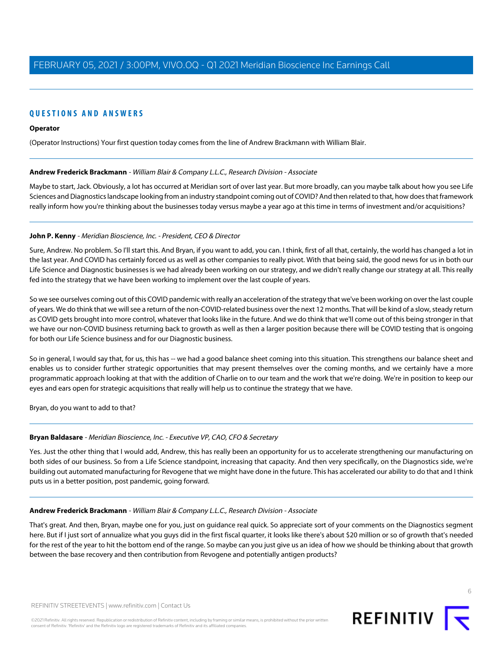## **QUESTIONS AND ANSWERS**

### **Operator**

<span id="page-5-0"></span>(Operator Instructions) Your first question today comes from the line of Andrew Brackmann with William Blair.

### **Andrew Frederick Brackmann** - William Blair & Company L.L.C., Research Division - Associate

Maybe to start, Jack. Obviously, a lot has occurred at Meridian sort of over last year. But more broadly, can you maybe talk about how you see Life Sciences and Diagnostics landscape looking from an industry standpoint coming out of COVID? And then related to that, how does that framework really inform how you're thinking about the businesses today versus maybe a year ago at this time in terms of investment and/or acquisitions?

### **John P. Kenny** - Meridian Bioscience, Inc. - President, CEO & Director

Sure, Andrew. No problem. So I'll start this. And Bryan, if you want to add, you can. I think, first of all that, certainly, the world has changed a lot in the last year. And COVID has certainly forced us as well as other companies to really pivot. With that being said, the good news for us in both our Life Science and Diagnostic businesses is we had already been working on our strategy, and we didn't really change our strategy at all. This really fed into the strategy that we have been working to implement over the last couple of years.

So we see ourselves coming out of this COVID pandemic with really an acceleration of the strategy that we've been working on over the last couple of years. We do think that we will see a return of the non-COVID-related business over the next 12 months. That will be kind of a slow, steady return as COVID gets brought into more control, whatever that looks like in the future. And we do think that we'll come out of this being stronger in that we have our non-COVID business returning back to growth as well as then a larger position because there will be COVID testing that is ongoing for both our Life Science business and for our Diagnostic business.

So in general, I would say that, for us, this has -- we had a good balance sheet coming into this situation. This strengthens our balance sheet and enables us to consider further strategic opportunities that may present themselves over the coming months, and we certainly have a more programmatic approach looking at that with the addition of Charlie on to our team and the work that we're doing. We're in position to keep our eyes and ears open for strategic acquisitions that really will help us to continue the strategy that we have.

Bryan, do you want to add to that?

### **Bryan Baldasare** - Meridian Bioscience, Inc. - Executive VP, CAO, CFO & Secretary

Yes. Just the other thing that I would add, Andrew, this has really been an opportunity for us to accelerate strengthening our manufacturing on both sides of our business. So from a Life Science standpoint, increasing that capacity. And then very specifically, on the Diagnostics side, we're building out automated manufacturing for Revogene that we might have done in the future. This has accelerated our ability to do that and I think puts us in a better position, post pandemic, going forward.

### **Andrew Frederick Brackmann** - William Blair & Company L.L.C., Research Division - Associate

That's great. And then, Bryan, maybe one for you, just on guidance real quick. So appreciate sort of your comments on the Diagnostics segment here. But if I just sort of annualize what you guys did in the first fiscal quarter, it looks like there's about \$20 million or so of growth that's needed for the rest of the year to hit the bottom end of the range. So maybe can you just give us an idea of how we should be thinking about that growth between the base recovery and then contribution from Revogene and potentially antigen products?

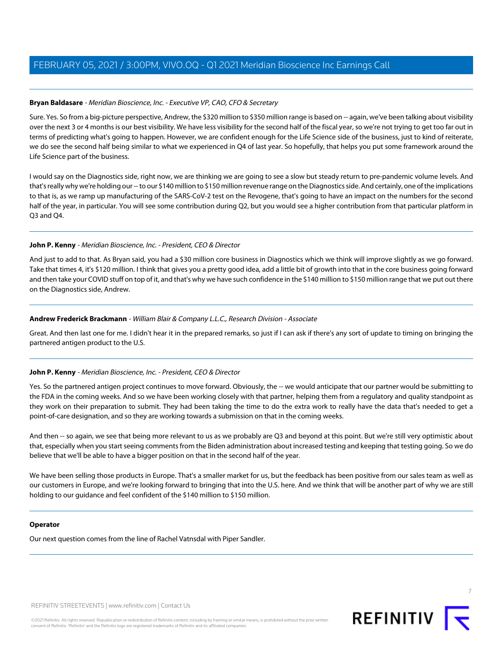### **Bryan Baldasare** - Meridian Bioscience, Inc. - Executive VP, CAO, CFO & Secretary

Sure. Yes. So from a big-picture perspective, Andrew, the \$320 million to \$350 million range is based on -- again, we've been talking about visibility over the next 3 or 4 months is our best visibility. We have less visibility for the second half of the fiscal year, so we're not trying to get too far out in terms of predicting what's going to happen. However, we are confident enough for the Life Science side of the business, just to kind of reiterate, we do see the second half being similar to what we experienced in Q4 of last year. So hopefully, that helps you put some framework around the Life Science part of the business.

I would say on the Diagnostics side, right now, we are thinking we are going to see a slow but steady return to pre-pandemic volume levels. And that's really why we're holding our -- to our \$140 million to \$150 million revenue range on the Diagnostics side. And certainly, one of the implications to that is, as we ramp up manufacturing of the SARS-CoV-2 test on the Revogene, that's going to have an impact on the numbers for the second half of the year, in particular. You will see some contribution during Q2, but you would see a higher contribution from that particular platform in Q3 and Q4.

### **John P. Kenny** - Meridian Bioscience, Inc. - President, CEO & Director

And just to add to that. As Bryan said, you had a \$30 million core business in Diagnostics which we think will improve slightly as we go forward. Take that times 4, it's \$120 million. I think that gives you a pretty good idea, add a little bit of growth into that in the core business going forward and then take your COVID stuff on top of it, and that's why we have such confidence in the \$140 million to \$150 million range that we put out there on the Diagnostics side, Andrew.

### **Andrew Frederick Brackmann** - William Blair & Company L.L.C., Research Division - Associate

Great. And then last one for me. I didn't hear it in the prepared remarks, so just if I can ask if there's any sort of update to timing on bringing the partnered antigen product to the U.S.

### **John P. Kenny** - Meridian Bioscience, Inc. - President, CEO & Director

Yes. So the partnered antigen project continues to move forward. Obviously, the -- we would anticipate that our partner would be submitting to the FDA in the coming weeks. And so we have been working closely with that partner, helping them from a regulatory and quality standpoint as they work on their preparation to submit. They had been taking the time to do the extra work to really have the data that's needed to get a point-of-care designation, and so they are working towards a submission on that in the coming weeks.

And then -- so again, we see that being more relevant to us as we probably are Q3 and beyond at this point. But we're still very optimistic about that, especially when you start seeing comments from the Biden administration about increased testing and keeping that testing going. So we do believe that we'll be able to have a bigger position on that in the second half of the year.

We have been selling those products in Europe. That's a smaller market for us, but the feedback has been positive from our sales team as well as our customers in Europe, and we're looking forward to bringing that into the U.S. here. And we think that will be another part of why we are still holding to our guidance and feel confident of the \$140 million to \$150 million.

### **Operator**

Our next question comes from the line of Rachel Vatnsdal with Piper Sandler.

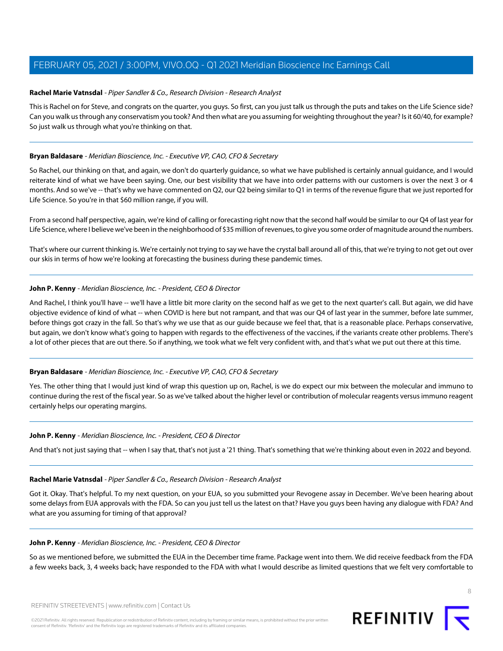### <span id="page-7-0"></span>**Rachel Marie Vatnsdal** - Piper Sandler & Co., Research Division - Research Analyst

This is Rachel on for Steve, and congrats on the quarter, you guys. So first, can you just talk us through the puts and takes on the Life Science side? Can you walk us through any conservatism you took? And then what are you assuming for weighting throughout the year? Is it 60/40, for example? So just walk us through what you're thinking on that.

### **Bryan Baldasare** - Meridian Bioscience, Inc. - Executive VP, CAO, CFO & Secretary

So Rachel, our thinking on that, and again, we don't do quarterly guidance, so what we have published is certainly annual guidance, and I would reiterate kind of what we have been saying. One, our best visibility that we have into order patterns with our customers is over the next 3 or 4 months. And so we've -- that's why we have commented on Q2, our Q2 being similar to Q1 in terms of the revenue figure that we just reported for Life Science. So you're in that \$60 million range, if you will.

From a second half perspective, again, we're kind of calling or forecasting right now that the second half would be similar to our Q4 of last year for Life Science, where I believe we've been in the neighborhood of \$35 million of revenues, to give you some order of magnitude around the numbers.

That's where our current thinking is. We're certainly not trying to say we have the crystal ball around all of this, that we're trying to not get out over our skis in terms of how we're looking at forecasting the business during these pandemic times.

### **John P. Kenny** - Meridian Bioscience, Inc. - President, CEO & Director

And Rachel, I think you'll have -- we'll have a little bit more clarity on the second half as we get to the next quarter's call. But again, we did have objective evidence of kind of what -- when COVID is here but not rampant, and that was our Q4 of last year in the summer, before late summer, before things got crazy in the fall. So that's why we use that as our guide because we feel that, that is a reasonable place. Perhaps conservative, but again, we don't know what's going to happen with regards to the effectiveness of the vaccines, if the variants create other problems. There's a lot of other pieces that are out there. So if anything, we took what we felt very confident with, and that's what we put out there at this time.

### **Bryan Baldasare** - Meridian Bioscience, Inc. - Executive VP, CAO, CFO & Secretary

Yes. The other thing that I would just kind of wrap this question up on, Rachel, is we do expect our mix between the molecular and immuno to continue during the rest of the fiscal year. So as we've talked about the higher level or contribution of molecular reagents versus immuno reagent certainly helps our operating margins.

### **John P. Kenny** - Meridian Bioscience, Inc. - President, CEO & Director

And that's not just saying that -- when I say that, that's not just a '21 thing. That's something that we're thinking about even in 2022 and beyond.

### **Rachel Marie Vatnsdal** - Piper Sandler & Co., Research Division - Research Analyst

Got it. Okay. That's helpful. To my next question, on your EUA, so you submitted your Revogene assay in December. We've been hearing about some delays from EUA approvals with the FDA. So can you just tell us the latest on that? Have you guys been having any dialogue with FDA? And what are you assuming for timing of that approval?

### **John P. Kenny** - Meridian Bioscience, Inc. - President, CEO & Director

So as we mentioned before, we submitted the EUA in the December time frame. Package went into them. We did receive feedback from the FDA a few weeks back, 3, 4 weeks back; have responded to the FDA with what I would describe as limited questions that we felt very comfortable to

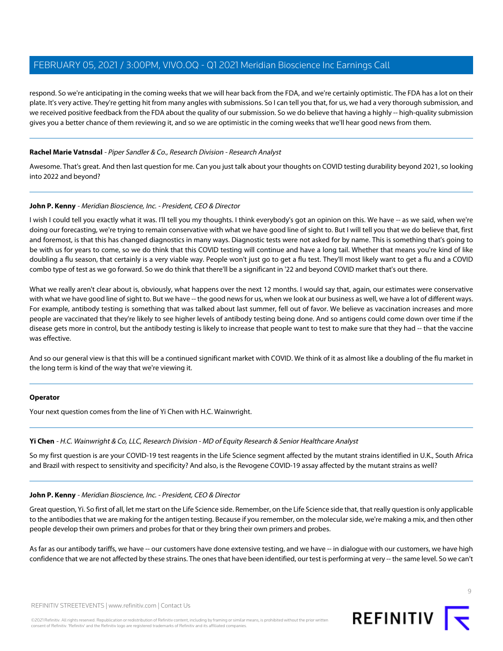respond. So we're anticipating in the coming weeks that we will hear back from the FDA, and we're certainly optimistic. The FDA has a lot on their plate. It's very active. They're getting hit from many angles with submissions. So I can tell you that, for us, we had a very thorough submission, and we received positive feedback from the FDA about the quality of our submission. So we do believe that having a highly -- high-quality submission gives you a better chance of them reviewing it, and so we are optimistic in the coming weeks that we'll hear good news from them.

### **Rachel Marie Vatnsdal** - Piper Sandler & Co., Research Division - Research Analyst

Awesome. That's great. And then last question for me. Can you just talk about your thoughts on COVID testing durability beyond 2021, so looking into 2022 and beyond?

### **John P. Kenny** - Meridian Bioscience, Inc. - President, CEO & Director

I wish I could tell you exactly what it was. I'll tell you my thoughts. I think everybody's got an opinion on this. We have -- as we said, when we're doing our forecasting, we're trying to remain conservative with what we have good line of sight to. But I will tell you that we do believe that, first and foremost, is that this has changed diagnostics in many ways. Diagnostic tests were not asked for by name. This is something that's going to be with us for years to come, so we do think that this COVID testing will continue and have a long tail. Whether that means you're kind of like doubling a flu season, that certainly is a very viable way. People won't just go to get a flu test. They'll most likely want to get a flu and a COVID combo type of test as we go forward. So we do think that there'll be a significant in '22 and beyond COVID market that's out there.

What we really aren't clear about is, obviously, what happens over the next 12 months. I would say that, again, our estimates were conservative with what we have good line of sight to. But we have -- the good news for us, when we look at our business as well, we have a lot of different ways. For example, antibody testing is something that was talked about last summer, fell out of favor. We believe as vaccination increases and more people are vaccinated that they're likely to see higher levels of antibody testing being done. And so antigens could come down over time if the disease gets more in control, but the antibody testing is likely to increase that people want to test to make sure that they had -- that the vaccine was effective.

And so our general view is that this will be a continued significant market with COVID. We think of it as almost like a doubling of the flu market in the long term is kind of the way that we're viewing it.

### <span id="page-8-0"></span>**Operator**

Your next question comes from the line of Yi Chen with H.C. Wainwright.

### **Yi Chen** - H.C. Wainwright & Co, LLC, Research Division - MD of Equity Research & Senior Healthcare Analyst

So my first question is are your COVID-19 test reagents in the Life Science segment affected by the mutant strains identified in U.K., South Africa and Brazil with respect to sensitivity and specificity? And also, is the Revogene COVID-19 assay affected by the mutant strains as well?

### **John P. Kenny** - Meridian Bioscience, Inc. - President, CEO & Director

Great question, Yi. So first of all, let me start on the Life Science side. Remember, on the Life Science side that, that really question is only applicable to the antibodies that we are making for the antigen testing. Because if you remember, on the molecular side, we're making a mix, and then other people develop their own primers and probes for that or they bring their own primers and probes.

As far as our antibody tariffs, we have -- our customers have done extensive testing, and we have -- in dialoque with our customers, we have high confidence that we are not affected by these strains. The ones that have been identified, our test is performing at very -- the same level. So we can't



**REFINITIV**